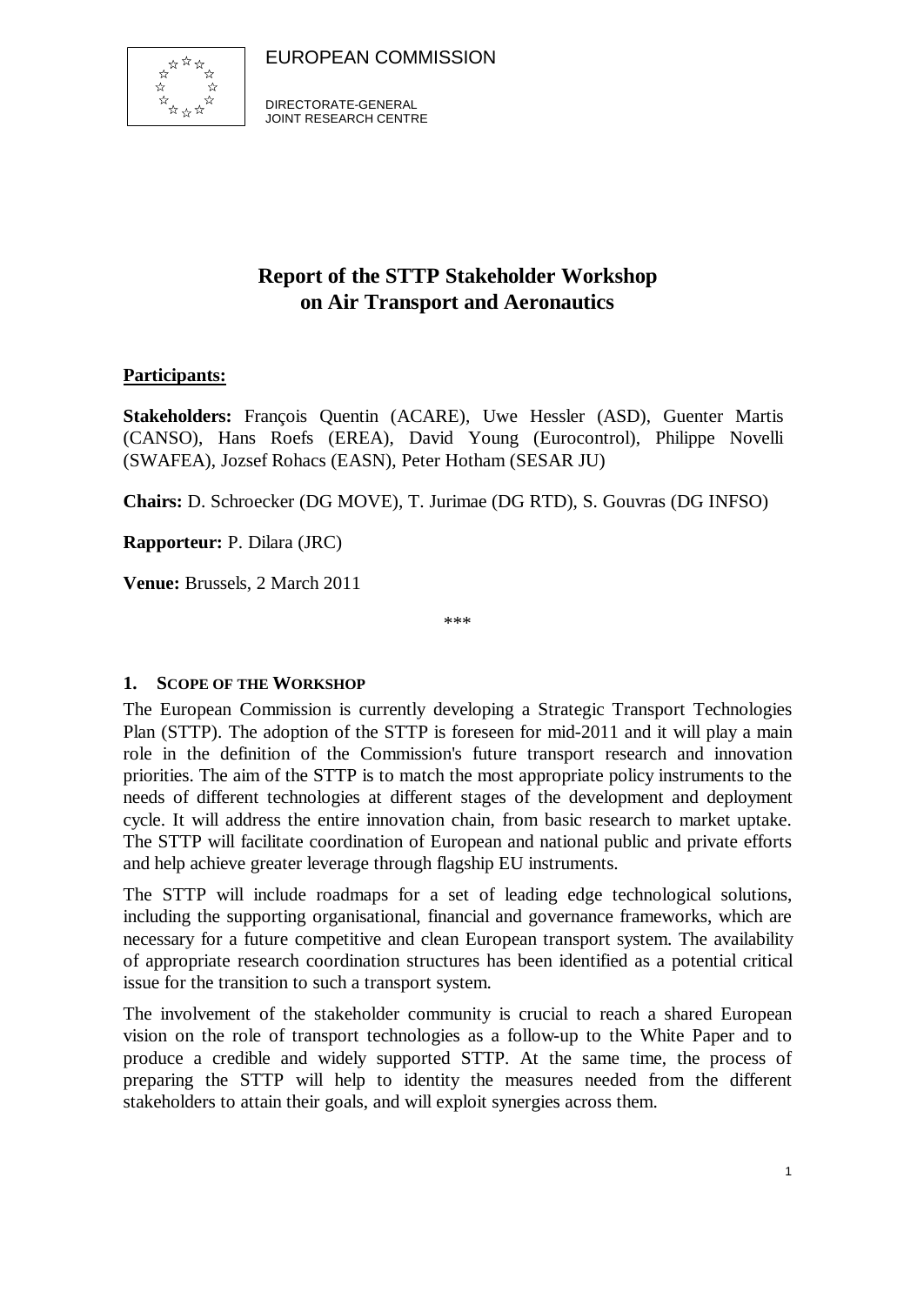

DIRECTORATE-GENERAL JOINT RESEARCH CENTRE

# **Report of the STTP Stakeholder Workshop on Air Transport and Aeronautics**

## **Participants:**

**Stakeholders:** François Quentin (ACARE), Uwe Hessler (ASD), Guenter Martis (CANSO), Hans Roefs (EREA), David Young (Eurocontrol), Philippe Novelli (SWAFEA), Jozsef Rohacs (EASN), Peter Hotham (SESAR JU)

**Chairs:** D. Schroecker (DG MOVE), T. Jurimae (DG RTD), S. Gouvras (DG INFSO)

**Rapporteur:** P. Dilara (JRC)

**Venue:** Brussels, 2 March 2011

\*\*\*

## **1. SCOPE OF THE WORKSHOP**

The European Commission is currently developing a Strategic Transport Technologies Plan (STTP). The adoption of the STTP is foreseen for mid-2011 and it will play a main role in the definition of the Commission's future transport research and innovation priorities. The aim of the STTP is to match the most appropriate policy instruments to the needs of different technologies at different stages of the development and deployment cycle. It will address the entire innovation chain, from basic research to market uptake. The STTP will facilitate coordination of European and national public and private efforts and help achieve greater leverage through flagship EU instruments.

The STTP will include roadmaps for a set of leading edge technological solutions, including the supporting organisational, financial and governance frameworks, which are necessary for a future competitive and clean European transport system. The availability of appropriate research coordination structures has been identified as a potential critical issue for the transition to such a transport system.

The involvement of the stakeholder community is crucial to reach a shared European vision on the role of transport technologies as a follow-up to the White Paper and to produce a credible and widely supported STTP. At the same time, the process of preparing the STTP will help to identity the measures needed from the different stakeholders to attain their goals, and will exploit synergies across them.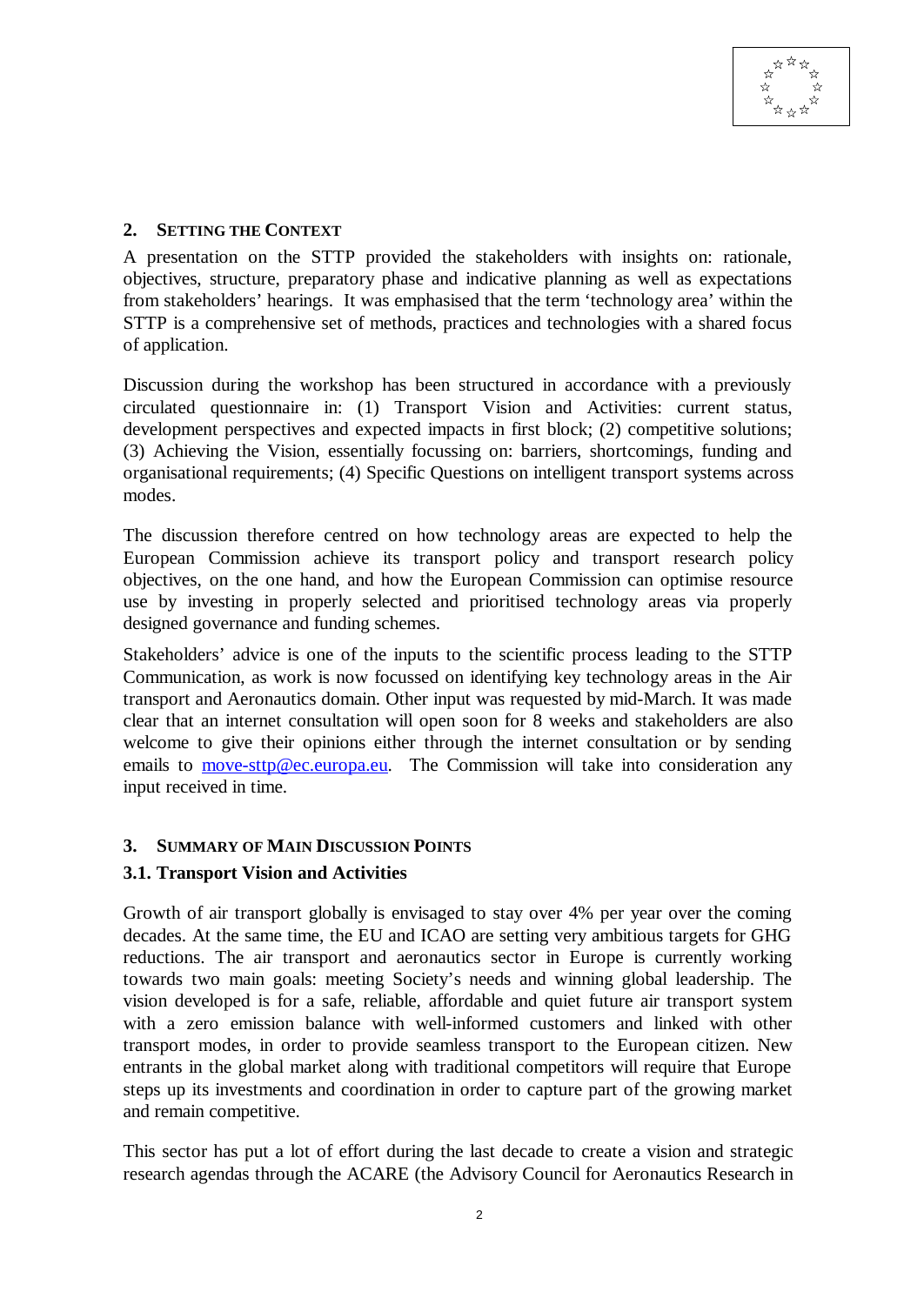### **2. SETTING THE CONTEXT**

A presentation on the STTP provided the stakeholders with insights on: rationale, objectives, structure, preparatory phase and indicative planning as well as expectations from stakeholders' hearings. It was emphasised that the term 'technology area' within the STTP is a comprehensive set of methods, practices and technologies with a shared focus of application.

Discussion during the workshop has been structured in accordance with a previously circulated questionnaire in: (1) Transport Vision and Activities: current status, development perspectives and expected impacts in first block; (2) competitive solutions; (3) Achieving the Vision, essentially focussing on: barriers, shortcomings, funding and organisational requirements; (4) Specific Questions on intelligent transport systems across modes.

The discussion therefore centred on how technology areas are expected to help the European Commission achieve its transport policy and transport research policy objectives, on the one hand, and how the European Commission can optimise resource use by investing in properly selected and prioritised technology areas via properly designed governance and funding schemes.

Stakeholders' advice is one of the inputs to the scientific process leading to the STTP Communication, as work is now focussed on identifying key technology areas in the Air transport and Aeronautics domain. Other input was requested by mid-March. It was made clear that an internet consultation will open soon for 8 weeks and stakeholders are also welcome to give their opinions either through the internet consultation or by sending emails to move-sttp@ec.europa.eu. The Commission will take into consideration any input received in time.

## **3. SUMMARY OF MAIN DISCUSSION POINTS**

## **3.1. Transport Vision and Activities**

Growth of air transport globally is envisaged to stay over 4% per year over the coming decades. At the same time, the EU and ICAO are setting very ambitious targets for GHG reductions. The air transport and aeronautics sector in Europe is currently working towards two main goals: meeting Society's needs and winning global leadership. The vision developed is for a safe, reliable, affordable and quiet future air transport system with a zero emission balance with well-informed customers and linked with other transport modes, in order to provide seamless transport to the European citizen. New entrants in the global market along with traditional competitors will require that Europe steps up its investments and coordination in order to capture part of the growing market and remain competitive.

This sector has put a lot of effort during the last decade to create a vision and strategic research agendas through the ACARE (the Advisory Council for Aeronautics Research in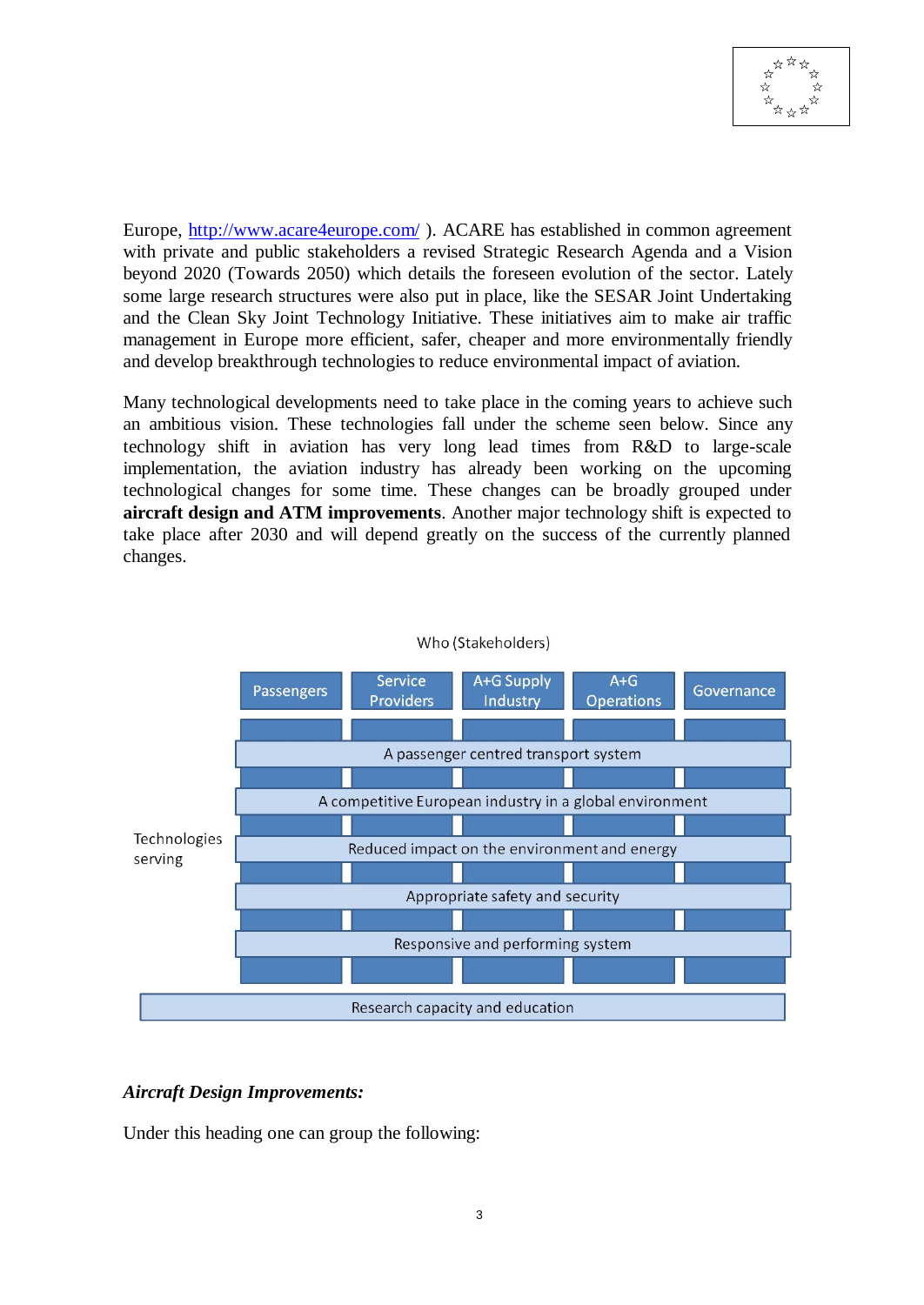

Europe, http://www.acare4europe.com/ ). ACARE has established in common agreement with private and public stakeholders a revised Strategic Research Agenda and a Vision beyond 2020 (Towards 2050) which details the foreseen evolution of the sector. Lately some large research structures were also put in place, like the SESAR Joint Undertaking and the Clean Sky Joint Technology Initiative. These initiatives aim to make air traffic management in Europe more efficient, safer, cheaper and more environmentally friendly and develop breakthrough technologies to reduce environmental impact of aviation.

Many technological developments need to take place in the coming years to achieve such an ambitious vision. These technologies fall under the scheme seen below. Since any technology shift in aviation has very long lead times from R&D to large-scale implementation, the aviation industry has already been working on the upcoming technological changes for some time. These changes can be broadly grouped under **aircraft design and ATM improvements**. Another major technology shift is expected to take place after 2030 and will depend greatly on the success of the currently planned changes.



#### Who (Stakeholders)

#### *Aircraft Design Improvements:*

Under this heading one can group the following: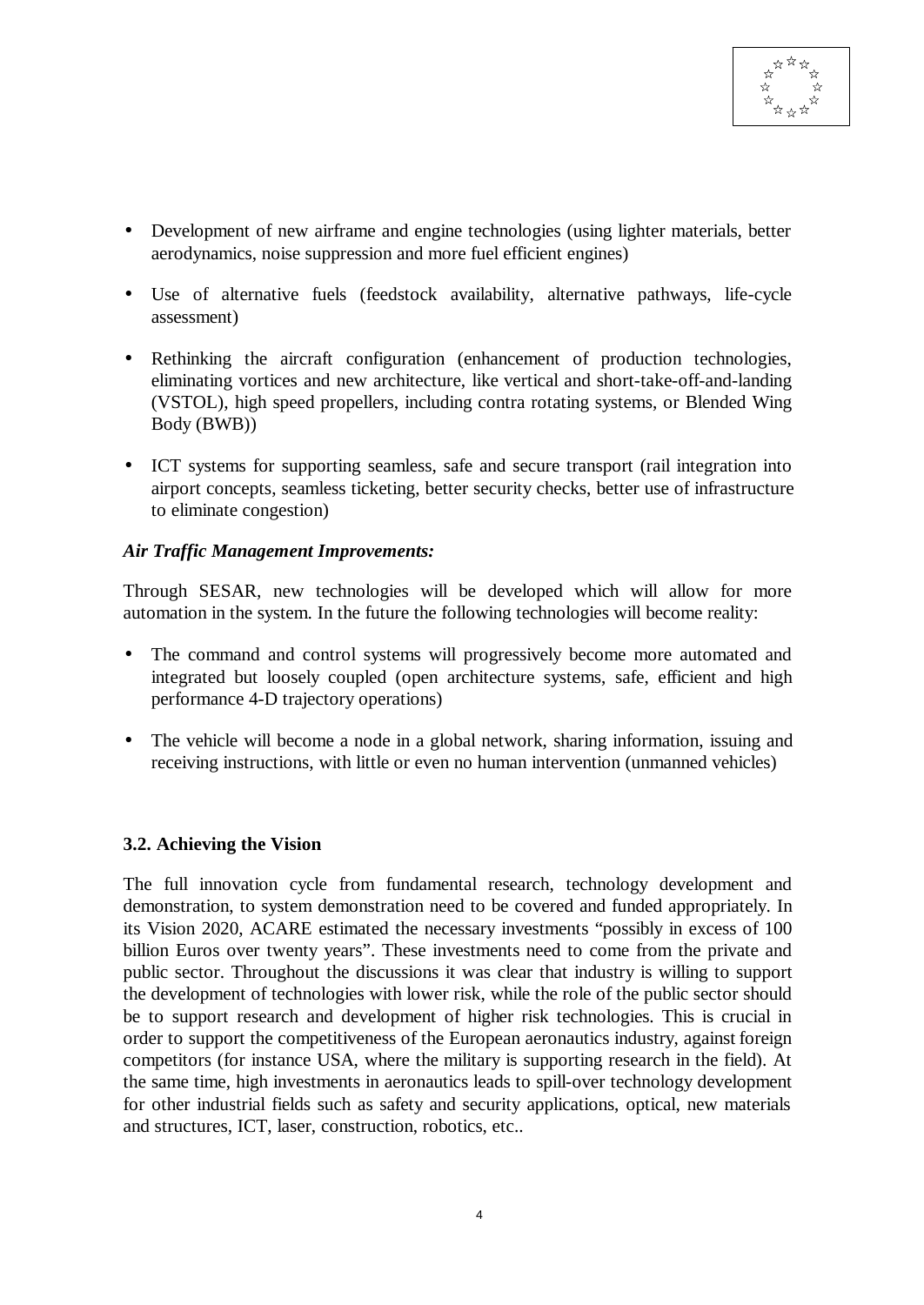- Development of new airframe and engine technologies (using lighter materials, better aerodynamics, noise suppression and more fuel efficient engines)
- Use of alternative fuels (feedstock availability, alternative pathways, life-cycle assessment)
- Rethinking the aircraft configuration (enhancement of production technologies, eliminating vortices and new architecture, like vertical and short-take-off-and-landing (VSTOL), high speed propellers, including contra rotating systems, or Blended Wing Body (BWB))
- ICT systems for supporting seamless, safe and secure transport (rail integration into airport concepts, seamless ticketing, better security checks, better use of infrastructure to eliminate congestion)

### *Air Traffic Management Improvements:*

Through SESAR, new technologies will be developed which will allow for more automation in the system. In the future the following technologies will become reality:

- The command and control systems will progressively become more automated and integrated but loosely coupled (open architecture systems, safe, efficient and high performance 4-D trajectory operations)
- The vehicle will become a node in a global network, sharing information, issuing and receiving instructions, with little or even no human intervention (unmanned vehicles)

## **3.2. Achieving the Vision**

The full innovation cycle from fundamental research, technology development and demonstration, to system demonstration need to be covered and funded appropriately. In its Vision 2020, ACARE estimated the necessary investments "possibly in excess of 100 billion Euros over twenty years". These investments need to come from the private and public sector. Throughout the discussions it was clear that industry is willing to support the development of technologies with lower risk, while the role of the public sector should be to support research and development of higher risk technologies. This is crucial in order to support the competitiveness of the European aeronautics industry, against foreign competitors (for instance USA, where the military is supporting research in the field). At the same time, high investments in aeronautics leads to spill-over technology development for other industrial fields such as safety and security applications, optical, new materials and structures, ICT, laser, construction, robotics, etc..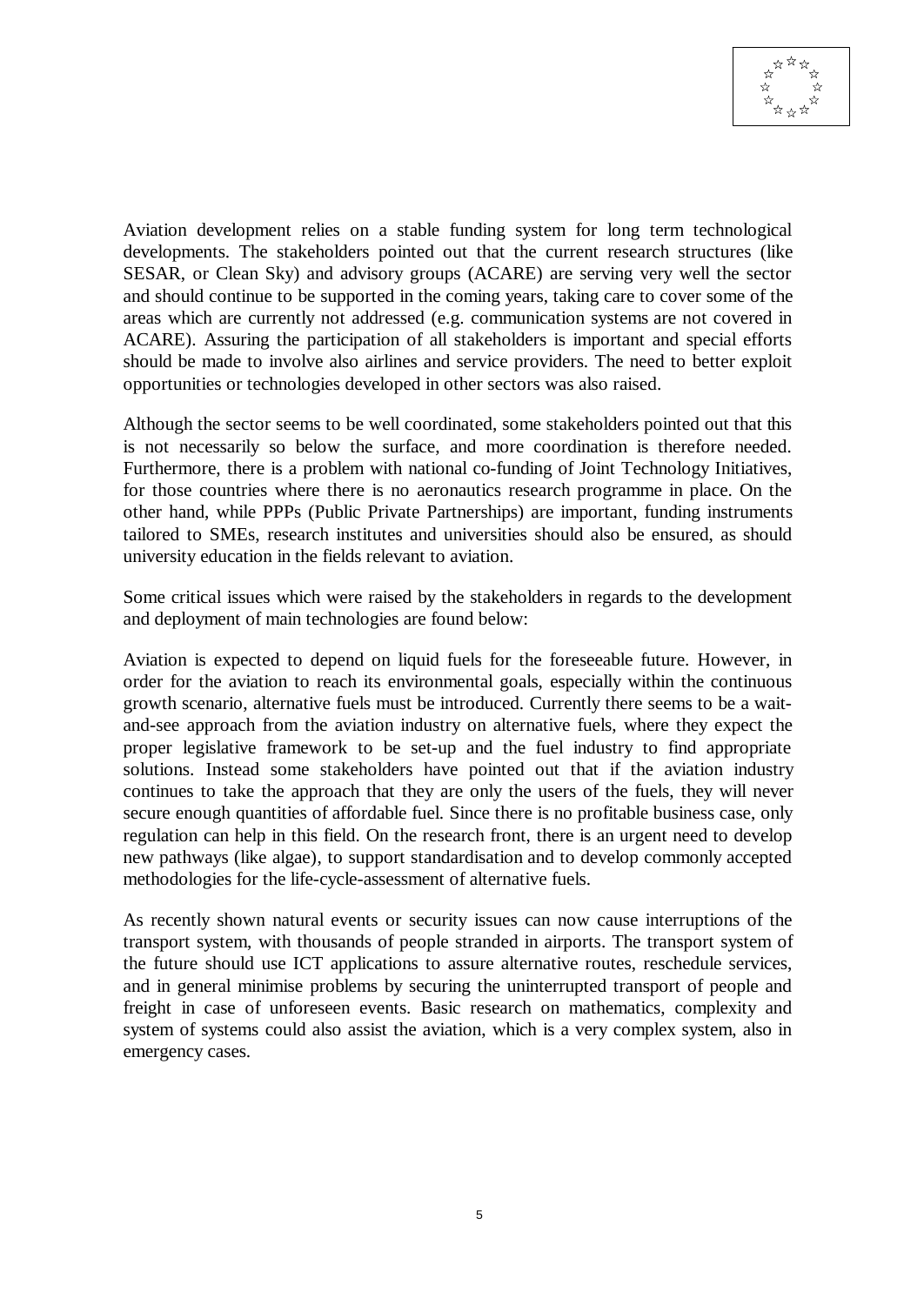

Aviation development relies on a stable funding system for long term technological developments. The stakeholders pointed out that the current research structures (like SESAR, or Clean Sky) and advisory groups (ACARE) are serving very well the sector and should continue to be supported in the coming years, taking care to cover some of the areas which are currently not addressed (e.g. communication systems are not covered in ACARE). Assuring the participation of all stakeholders is important and special efforts should be made to involve also airlines and service providers. The need to better exploit opportunities or technologies developed in other sectors was also raised.

Although the sector seems to be well coordinated, some stakeholders pointed out that this is not necessarily so below the surface, and more coordination is therefore needed. Furthermore, there is a problem with national co-funding of Joint Technology Initiatives, for those countries where there is no aeronautics research programme in place. On the other hand, while PPPs (Public Private Partnerships) are important, funding instruments tailored to SMEs, research institutes and universities should also be ensured, as should university education in the fields relevant to aviation.

Some critical issues which were raised by the stakeholders in regards to the development and deployment of main technologies are found below:

Aviation is expected to depend on liquid fuels for the foreseeable future. However, in order for the aviation to reach its environmental goals, especially within the continuous growth scenario, alternative fuels must be introduced. Currently there seems to be a waitand-see approach from the aviation industry on alternative fuels, where they expect the proper legislative framework to be set-up and the fuel industry to find appropriate solutions. Instead some stakeholders have pointed out that if the aviation industry continues to take the approach that they are only the users of the fuels, they will never secure enough quantities of affordable fuel. Since there is no profitable business case, only regulation can help in this field. On the research front, there is an urgent need to develop new pathways (like algae), to support standardisation and to develop commonly accepted methodologies for the life-cycle-assessment of alternative fuels.

As recently shown natural events or security issues can now cause interruptions of the transport system, with thousands of people stranded in airports. The transport system of the future should use ICT applications to assure alternative routes, reschedule services, and in general minimise problems by securing the uninterrupted transport of people and freight in case of unforeseen events. Basic research on mathematics, complexity and system of systems could also assist the aviation, which is a very complex system, also in emergency cases.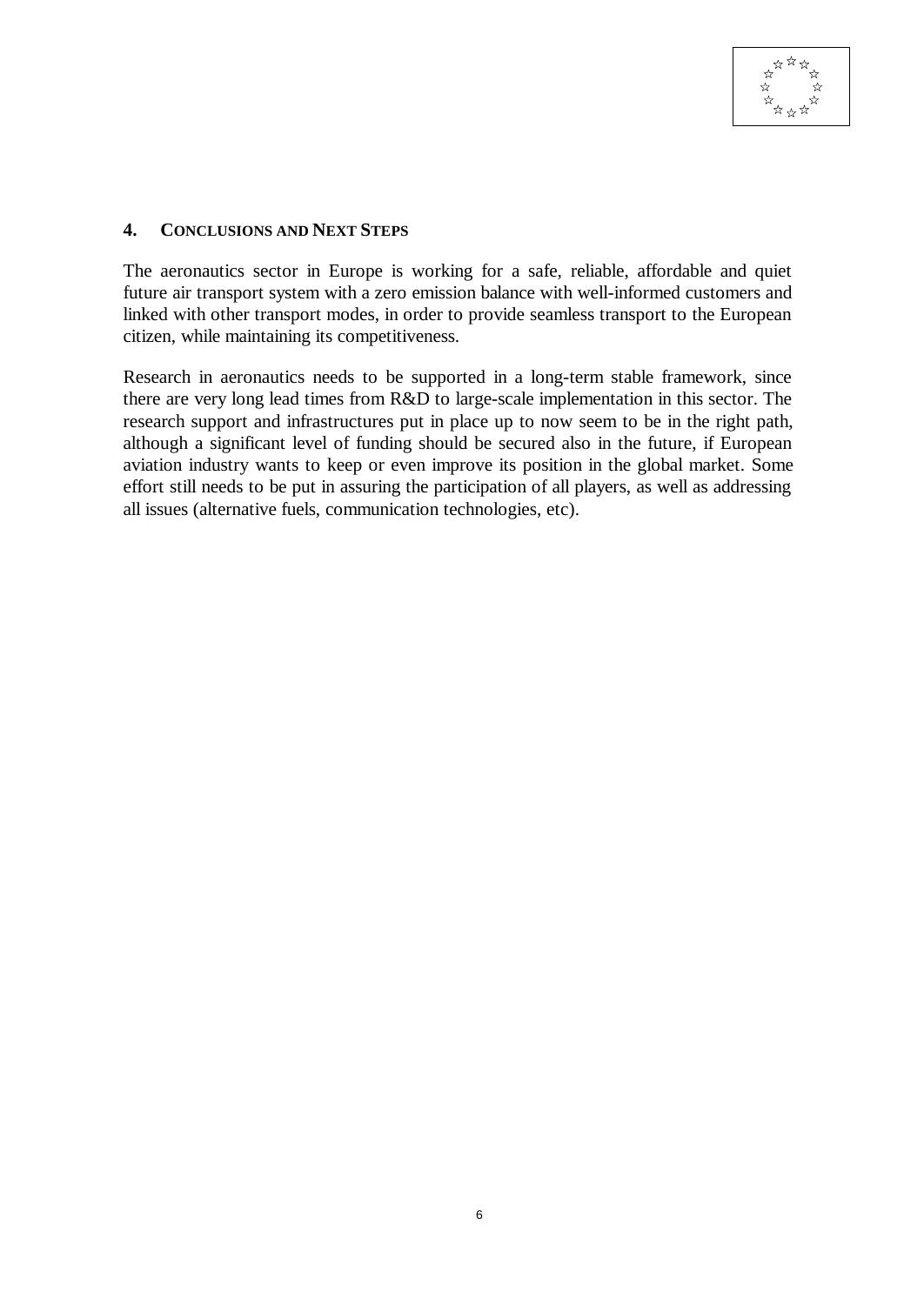

#### **4. CONCLUSIONS AND NEXT STEPS**

The aeronautics sector in Europe is working for a safe, reliable, affordable and quiet future air transport system with a zero emission balance with well-informed customers and linked with other transport modes, in order to provide seamless transport to the European citizen, while maintaining its competitiveness.

Research in aeronautics needs to be supported in a long-term stable framework, since there are very long lead times from R&D to large-scale implementation in this sector. The research support and infrastructures put in place up to now seem to be in the right path, although a significant level of funding should be secured also in the future, if European aviation industry wants to keep or even improve its position in the global market. Some effort still needs to be put in assuring the participation of all players, as well as addressing all issues (alternative fuels, communication technologies, etc).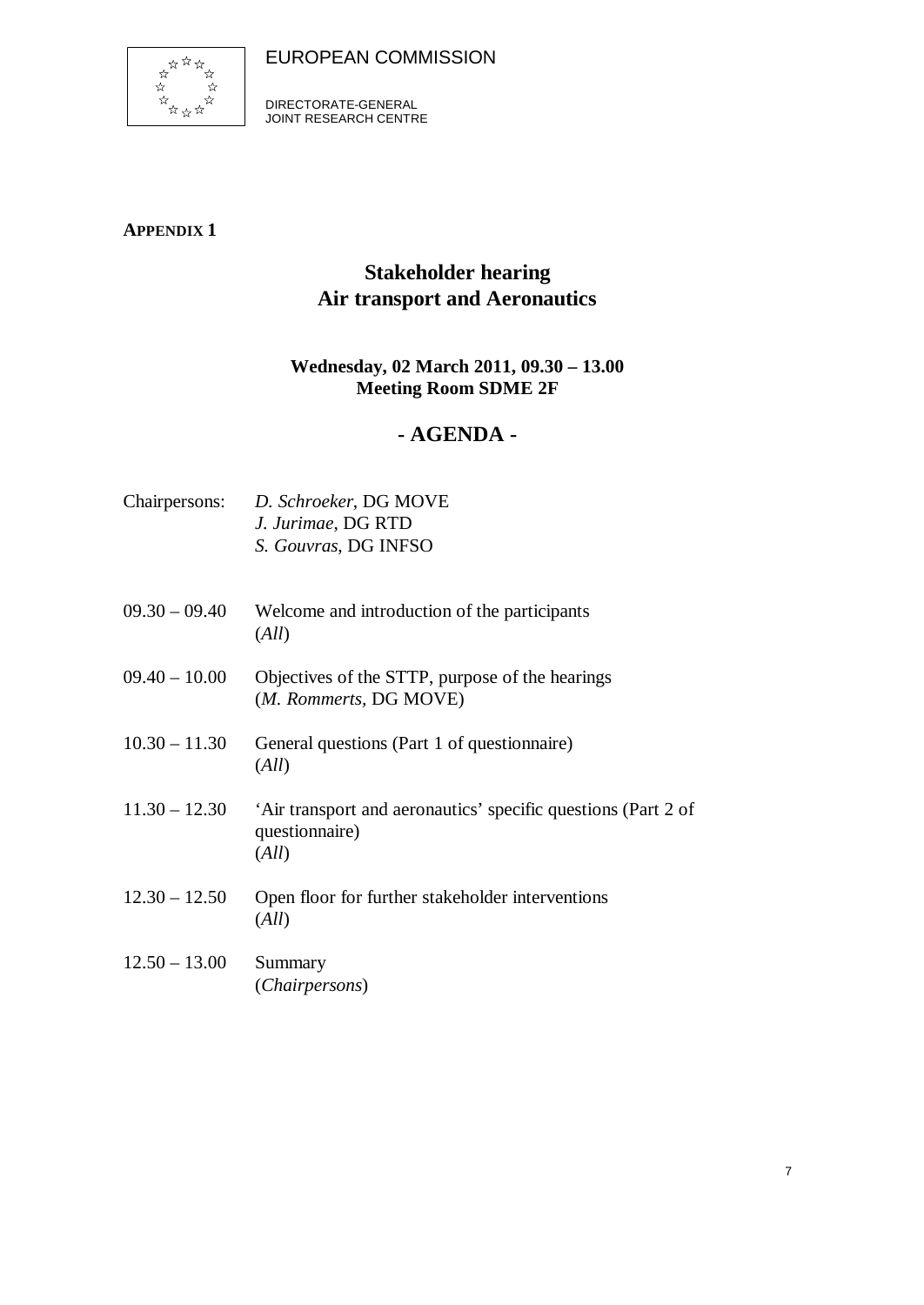

DIRECTORATE-GENERAL JOINT RESEARCH CENTRE

## **APPENDIX 1**

# **Stakeholder hearing Air transport and Aeronautics**

## **Wednesday, 02 March 2011, 09.30 – 13.00 Meeting Room SDME 2F**

## **- AGENDA -**

|                 | Chairpersons: D. Schroeker, DG MOVE<br>J. Jurimae, DG RTD<br>S. Gouvras, DG INFSO        |
|-----------------|------------------------------------------------------------------------------------------|
| $09.30 - 09.40$ | Welcome and introduction of the participants<br>(All)                                    |
| $09.40 - 10.00$ | Objectives of the STTP, purpose of the hearings<br>(M. Rommerts, DG MOVE)                |
| $10.30 - 11.30$ | General questions (Part 1 of questionnaire)<br>(All)                                     |
| $11.30 - 12.30$ | 'Air transport and aeronautics' specific questions (Part 2 of<br>questionnaire)<br>(All) |
| $12.30 - 12.50$ | Open floor for further stakeholder interventions<br>(All)                                |
| $12.50 - 13.00$ | Summary<br>(Chairpersons)                                                                |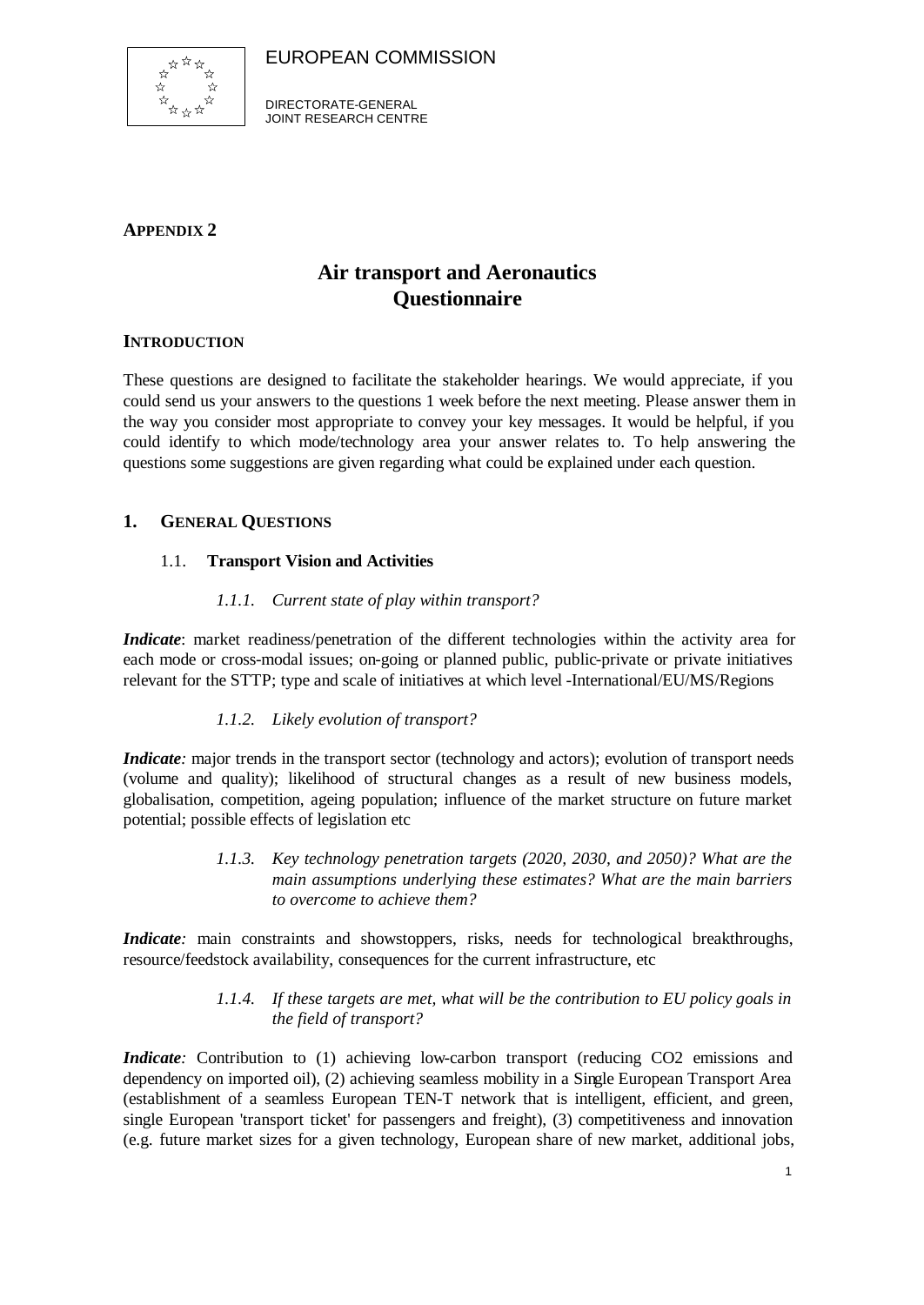

DIRECTORATE-GENERAL JOINT RESEARCH CENTRE

### **APPENDIX 2**

## **Air transport and Aeronautics Questionnaire**

### **INTRODUCTION**

These questions are designed to facilitate the stakeholder hearings. We would appreciate, if you could send us your answers to the questions 1 week before the next meeting. Please answer them in the way you consider most appropriate to convey your key messages. It would be helpful, if you could identify to which mode/technology area your answer relates to. To help answering the questions some suggestions are given regarding what could be explained under each question.

### **1. GENERAL QUESTIONS**

### 1.1. **Transport Vision and Activities**

### *1.1.1. Current state of play within transport?*

*Indicate*: market readiness/penetration of the different technologies within the activity area for each mode or cross-modal issues; on-going or planned public, public-private or private initiatives relevant for the STTP; type and scale of initiatives at which level -International/EU/MS/Regions

### *1.1.2. Likely evolution of transport?*

*Indicate*: major trends in the transport sector (technology and actors); evolution of transport needs (volume and quality); likelihood of structural changes as a result of new business models, globalisation, competition, ageing population; influence of the market structure on future market potential; possible effects of legislation etc

> *1.1.3. Key technology penetration targets (2020, 2030, and 2050)? What are the main assumptions underlying these estimates? What are the main barriers to overcome to achieve them?*

*Indicate*: main constraints and showstoppers, risks, needs for technological breakthroughs, resource/feedstock availability, consequences for the current infrastructure, etc

### *1.1.4. If these targets are met, what will be the contribution to EU policy goals in the field of transport?*

*Indicate*: Contribution to (1) achieving low-carbon transport (reducing CO2 emissions and dependency on imported oil), (2) achieving seamless mobility in a Single European Transport Area (establishment of a seamless European TEN-T network that is intelligent, efficient, and green, single European 'transport ticket' for passengers and freight), (3) competitiveness and innovation (e.g. future market sizes for a given technology, European share of new market, additional jobs,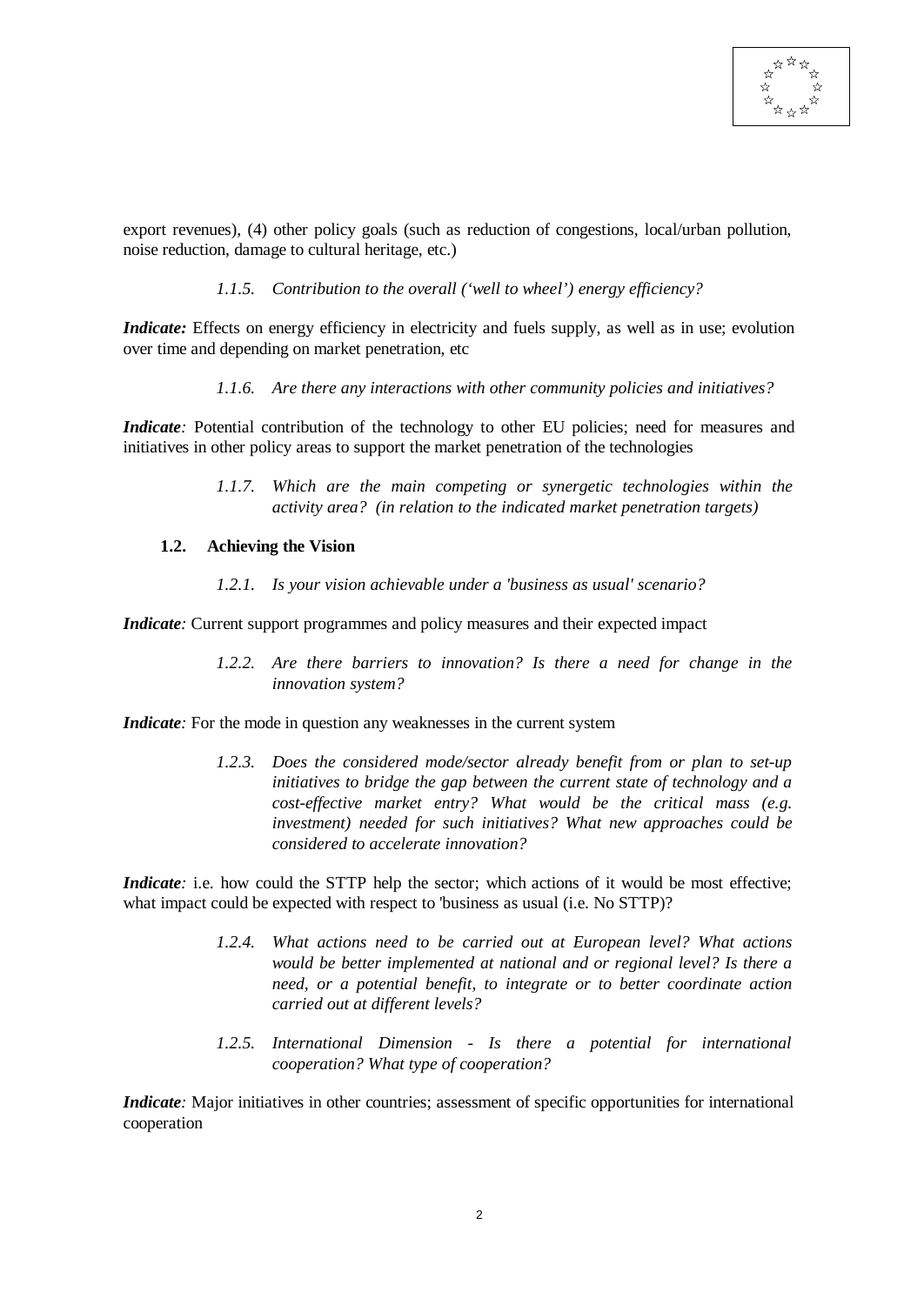

export revenues), (4) other policy goals (such as reduction of congestions, local/urban pollution, noise reduction, damage to cultural heritage, etc.)

#### *1.1.5. Contribution to the overall ('well to wheel') energy efficiency?*

*Indicate:* Effects on energy efficiency in electricity and fuels supply, as well as in use; evolution over time and depending on market penetration, etc

*1.1.6. Are there any interactions with other community policies and initiatives?*

*Indicate*: Potential contribution of the technology to other EU policies; need for measures and initiatives in other policy areas to support the market penetration of the technologies

> *1.1.7. Which are the main competing or synergetic technologies within the activity area? (in relation to the indicated market penetration targets)*

#### **1.2. Achieving the Vision**

*1.2.1. Is your vision achievable under a 'business as usual' scenario?*

*Indicate*: Current support programmes and policy measures and their expected impact

*1.2.2. Are there barriers to innovation? Is there a need for change in the innovation system?*

*Indicate*: For the mode in question any weaknesses in the current system

*1.2.3. Does the considered mode/sector already benefit from or plan to set-up initiatives to bridge the gap between the current state of technology and a cost-effective market entry? What would be the critical mass (e.g. investment) needed for such initiatives? What new approaches could be considered to accelerate innovation?*

*Indicate*: i.e. how could the STTP help the sector; which actions of it would be most effective; what impact could be expected with respect to 'business as usual (i.e. No STTP)?

- *1.2.4. What actions need to be carried out at European level? What actions would be better implemented at national and or regional level? Is there a need, or a potential benefit, to integrate or to better coordinate action carried out at different levels?*
- *1.2.5. International Dimension Is there a potential for international cooperation? What type of cooperation?*

*Indicate*: Major initiatives in other countries; assessment of specific opportunities for international cooperation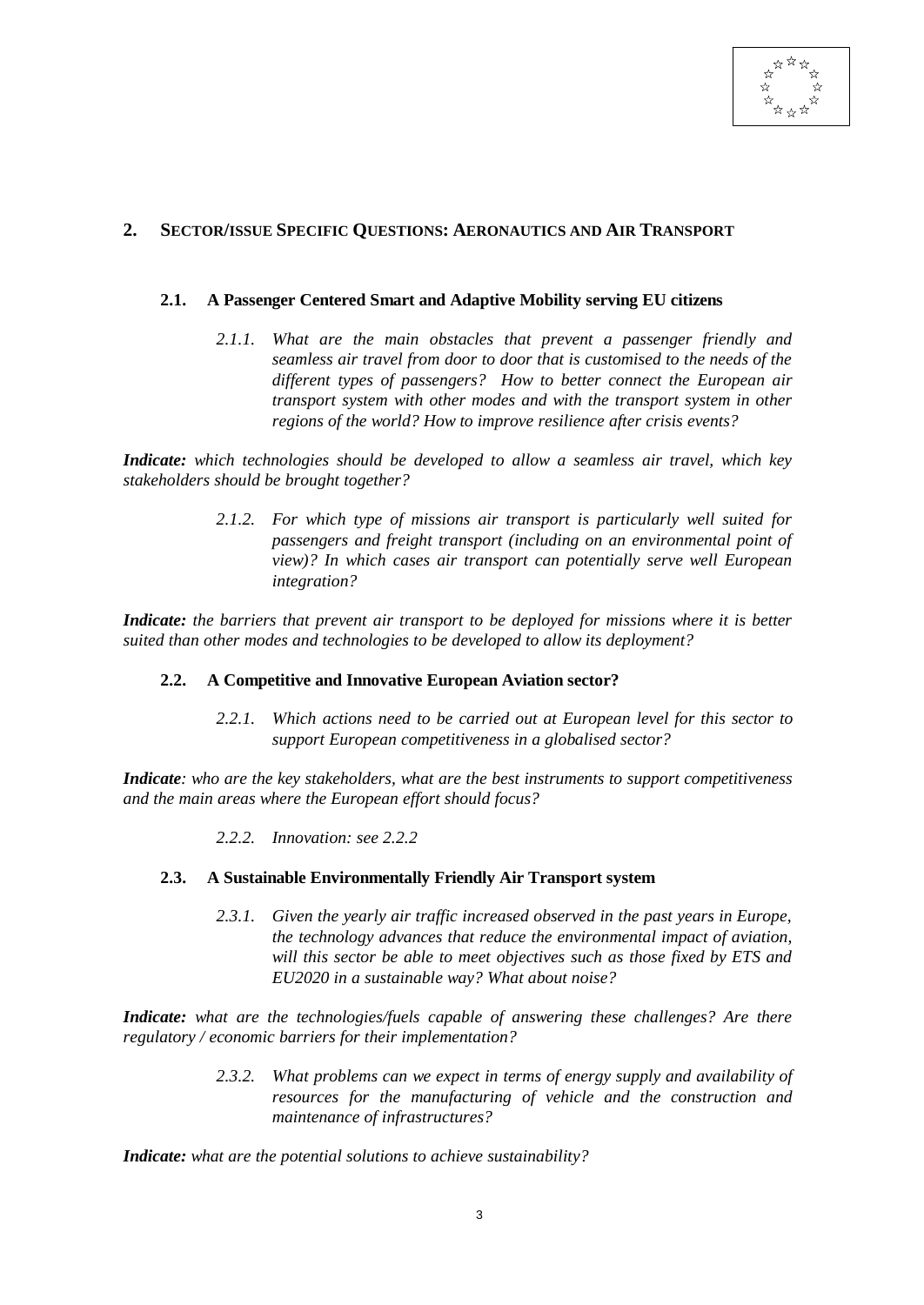

#### **2. SECTOR/ISSUE SPECIFIC QUESTIONS: AERONAUTICS AND AIR TRANSPORT**

#### **2.1. A Passenger Centered Smart and Adaptive Mobility serving EU citizens**

*2.1.1. What are the main obstacles that prevent a passenger friendly and seamless air travel from door to door that is customised to the needs of the different types of passengers? How to better connect the European air transport system with other modes and with the transport system in other regions of the world? How to improve resilience after crisis events?*

*Indicate: which technologies should be developed to allow a seamless air travel, which key stakeholders should be brought together?*

> *2.1.2. For which type of missions air transport is particularly well suited for passengers and freight transport (including on an environmental point of view)? In which cases air transport can potentially serve well European integration?*

*Indicate: the barriers that prevent air transport to be deployed for missions where it is better suited than other modes and technologies to be developed to allow its deployment?*

#### **2.2. A Competitive and Innovative European Aviation sector?**

*2.2.1. Which actions need to be carried out at European level for this sector to support European competitiveness in a globalised sector?*

*Indicate: who are the key stakeholders, what are the best instruments to support competitiveness and the main areas where the European effort should focus?*

*2.2.2. Innovation: see 2.2.2*

#### **2.3. A Sustainable Environmentally Friendly Air Transport system**

*2.3.1. Given the yearly air traffic increased observed in the past years in Europe, the technology advances that reduce the environmental impact of aviation, will this sector be able to meet objectives such as those fixed by ETS and EU2020 in a sustainable way? What about noise?*

*Indicate: what are the technologies/fuels capable of answering these challenges? Are there regulatory / economic barriers for their implementation?*

> *2.3.2. What problems can we expect in terms of energy supply and availability of resources for the manufacturing of vehicle and the construction and maintenance of infrastructures?*

*Indicate: what are the potential solutions to achieve sustainability?*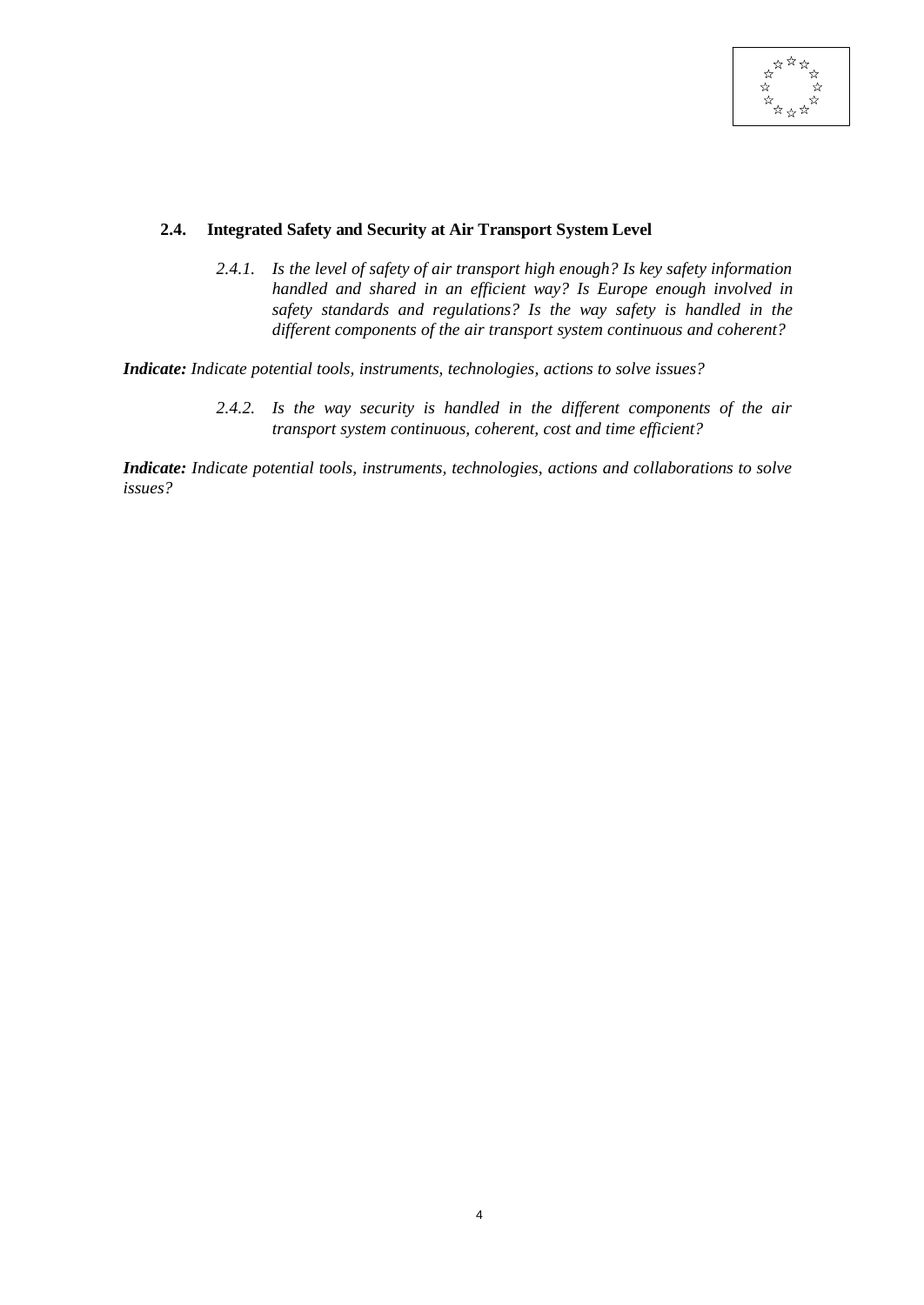

#### **2.4. Integrated Safety and Security at Air Transport System Level**

*2.4.1. Is the level of safety of air transport high enough? Is key safety information handled and shared in an efficient way? Is Europe enough involved in safety standards and regulations? Is the way safety is handled in the different components of the air transport system continuous and coherent?*

*Indicate: Indicate potential tools, instruments, technologies, actions to solve issues?*

*2.4.2. Is the way security is handled in the different components of the air transport system continuous, coherent, cost and time efficient?*

*Indicate: Indicate potential tools, instruments, technologies, actions and collaborations to solve issues?*